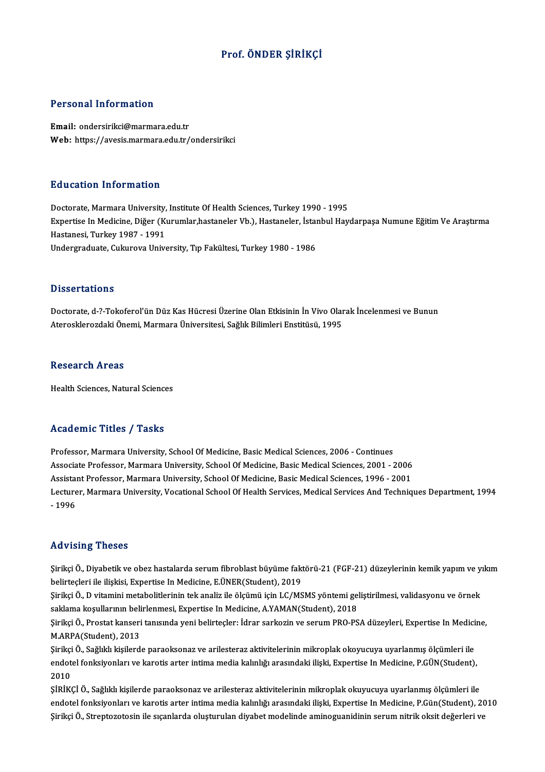## Prof. ÖNDER ŞİRİKÇİ

#### Personal Information

Email: ondersirikci@marmara.edu.tr Web: https://avesis.marmara.edu.tr/ondersirikci

#### Education Information

Education Information<br>Doctorate, Marmara University, Institute Of Health Sciences, Turkey 1990 - 1995<br>Expertise In Medicine, Diğer (Kurumlar bastaneler Vb.), Hastaneler, İstanbul Hav Eu d'od'eren Information<br>Doctorate, Marmara University, Institute Of Health Sciences, Turkey 1990 - 1995<br>Expertise In Medicine, Diğer (Kurumlar,hastaneler Vb.), Hastaneler, İstanbul Haydarpaşa Numune Eğitim Ve Araştırma Doctorate, Marmara University,<br>Expertise In Medicine, Diğer (Kı<br>Hastanesi, Turkey 1987 - 1991<br>Undergraduate Gulureya Unive Expertise In Medicine, Diğer (Kurumlar,hastaneler Vb.), Hastaneler, İstaı<br>Hastanesi, Turkey 1987 - 1991<br>Undergraduate, Cukurova University, Tıp Fakültesi, Turkey 1980 - 1986 Undergraduate, Cukurova University, Tıp Fakültesi, Turkey 1980 - 1986<br>Dissertations

Doctorate, d-?-Tokoferol'ün Düz Kas Hücresi Üzerine Olan Etkisinin İn Vivo Olarak İncelenmesi ve Bunun Aterosklerozdaki Önemi, Marmara Üniversitesi, Sağlık Bilimleri Enstitüsü, 1995

#### **Research Areas**

Health Sciences, Natural Sciences

#### Academic Titles / Tasks

Professor, Marmara University, School Of Medicine, Basic Medical Sciences, 2006 - Continues Associate Article 7, Andre<br>Professor, Marmara University, School Of Medicine, Basic Medical Sciences, 2006 - Continues<br>Associate Professor, Marmara University, School Of Medicine, Basic Medical Sciences, 2001 - 2006<br>Assist Professor, Marmara University, School Of Medicine, Basic Medical Sciences, 2006 - Continues<br>Associate Professor, Marmara University, School Of Medicine, Basic Medical Sciences, 2001 - 2006<br>Assistant Professor, Marmara Univ Associate Professor, Marmara University, School Of Medicine, Basic Medical Sciences, 2001 - 2006<br>Assistant Professor, Marmara University, School Of Medicine, Basic Medical Sciences, 1996 - 2001<br>Lecturer, Marmara University Assistai<br>Lecture<br>- 1996 Advising Theses

Advising Theses<br>Şirikçi Ö., Diyabetik ve obez hastalarda serum fibroblast büyüme faktörü-21 (FGF-21) düzeylerinin kemik yapım ve yıkım<br>heliytesleri ile ilişkisi, Expertise In Medisine, E ÜNEP (Student), 2019 belirteçi ö., Diyabetik ve obez hastalarda serum fibroblast büyüme fakt<br>belirteçleri ile ilişkisi, Expertise In Medicine, E.ÜNER(Student), 2019<br>Siriksi Ö. D vitamini metabelitlerinin tek analir ile ölgümü için L.C (MS Şirikçi Ö., Diyabetik ve obez hastalarda serum fibroblast büyüme faktörü-21 (FGF-21) düzeylerinin kemik yapım ve y<br>belirteçleri ile ilişkisi, Expertise In Medicine, E.ÜNER(Student), 2019<br>Şirikçi Ö., D vitamini metabolitler

belirteçleri ile ilişkisi, Expertise In Medicine, E.ÜNER(Student), 2019<br>Şirikçi Ö., D vitamini metabolitlerinin tek analiz ile ölçümü için LC/MSMS yöntemi ge<br>saklama koşullarının belirlenmesi, Expertise In Medicine, A.YAMA Şirikçi Ö., D vitamini metabolitlerinin tek analiz ile ölçümü için LC/MSMS yöntemi geliştirilmesi, validasyonu ve örnek<br>saklama koşullarının belirlenmesi, Expertise In Medicine, A.YAMAN(Student), 2018<br>Şirikçi Ö., Prostat k

saklama koşullarının belirlenmesi, Expertise In Medicine, A.YAMAN(Student), 2018<br>Şirikçi Ö., Prostat kanseri tanısında yeni belirteçler: İdrar sarkozin ve serum PRO-PSA düzeyleri, Expertise In Medicine,<br>M.ARPA(Student), 20 Şirikçi Ö., Prostat kanseri tanısında yeni belirteçler: İdrar sarkozin ve serum PRO-PSA düzeyleri, Expertise In Medici<br>M.ARPA(Student), 2013<br>Şirikçi Ö., Sağlıklı kişilerde paraoksonaz ve arilesteraz aktivitelerinin mikropl

M.ARPA(Student), 2013<br>Şirikçi Ö., Sağlıklı kişilerde paraoksonaz ve arilesteraz aktivitelerinin mikroplak okoyucuya uyarlanmış ölçümleri ile<br>endotel fonksiyonları ve karotis arter intima media kalınlığı arasındaki ilişki, Şirikçi<br>endot<br>2010<br>sipi*ve* endotel fonksiyonları ve karotis arter intima media kalınlığı arasındaki ilişki, Expertise In Medicine, P.GÜN(Student),<br>2010<br>ŞİRİKÇİ Ö., Sağlıklı kişilerde paraoksonaz ve arilesteraz aktivitelerinin mikroplak okuyucuya uya

endotel fonksiyonları ve karotis arter intima media kalınlığı arasındaki ilişki, Expertise In Medicine, P.Gün(Student), 2010 Şirikçi Ö., Streptozotosin ile sıçanlarda oluşturulan diyabet modelinde aminoguanidinin serum nitrik oksit değerleri ve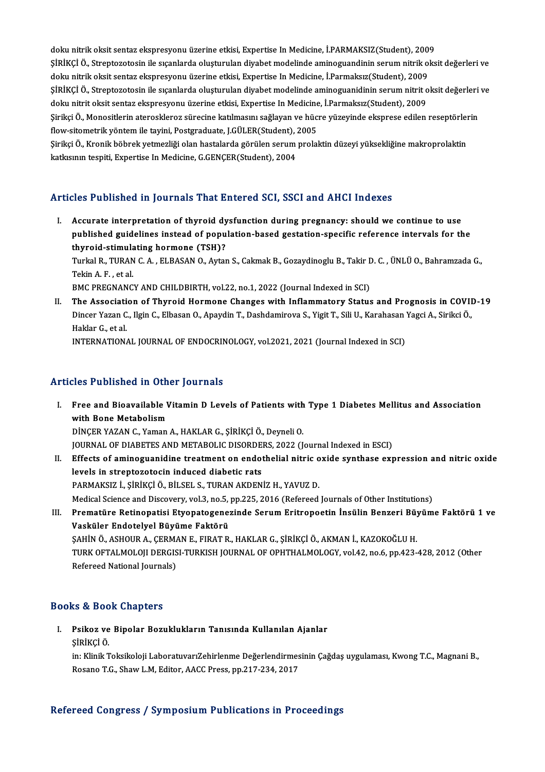doku nitrik oksit sentaz ekspresyonu üzerine etkisi, Expertise In Medicine, İ.PARMAKSIZ(Student), 2009<br>Sinikçi ö. Strantaratesin ile esanlarda alustumlar divahet medalinde amineguandinin sanum nitrik ala ŞİRİKÇİ Ö., Streptozotosin ile sıçanlarda oluşturulan diyabet modelinde aminoguandinin serum nitrik oksit değerleri ve<br>doku nitrik oksit sentaz ekspresyonu üzerine etkisi, Expertise In Medicine, İ.Parmaksız(Student), 2009 doku nitrik oksit sentaz ekspresyonu üzerine etkisi, Expertise In Medicine, İ.PARMAKSIZ(Student), 200<br>ŞİRİKÇİ Ö., Streptozotosin ile sıçanlarda oluşturulan diyabet modelinde aminoguandinin serum nitrik ol<br>doku nitrik oksit ŞİRİKÇİ Ö., Streptozotosin ile sıçanlarda oluşturulan diyabet modelinde aminoguandinin serum nitrik oksit değerleri ve<br>doku nitrik oksit sentaz ekspresyonu üzerine etkisi, Expertise In Medicine, İ.Parmaksız(Student), 2009<br> doku nitrik oksit sentaz ekspresyonu üzerine etkisi, Expertise In Medicine, İ.Parmaksız(Student), 2009<br>ŞİRİKÇİ Ö., Streptozotosin ile sıçanlarda oluşturulan diyabet modelinde aminoguanidinin serum nitrit o<br>doku nitrit oksi ŞİRİKÇİ Ö., Streptozotosin ile sıçanlarda oluşturulan diyabet modelinde aminoguanidinin serum nitrit oksit değerleri<br>doku nitrit oksit sentaz ekspresyonu üzerine etkisi, Expertise In Medicine, İ.Parmaksız(Student), 2009<br>Şi doku nitrit oksit sentaz ekspresyonu üzerine etkisi, Expertise In Medicine, İ.Parmaksız(Student), 2009<br>Şirikçi Ö., Monositlerin ateroskleroz sürecine katılmasını sağlayan ve hücre yüzeyinde eksprese edilen reseptörle<br>flow-Şirikçi Ö., Monositlerin ateroskleroz sürecine katılmasını sağlayan ve hücre yüzeyinde eksprese edilen reseptörlerin<br>flow-sitometrik yöntem ile tayini, Postgraduate, J.GÜLER(Student), 2005<br>Şirikçi Ö., Kronik böbrek yetmezl flow-sitometrik yöntem ile tayini, Postgraduate, J.GÜLER(Student), 2005

### Articles Published in Journals That Entered SCI, SSCI and AHCI Indexes

I. Accurate interpretation of thyroid dysfunction during pregnancy: should we continue to use published and published intervals in the context of the cost, because the continue of the continue to use<br>published guidelines instead of population-based gestation-specific reference intervals for the<br>thuroid stimulating Accurate interpretation of thyroid dy<br>published guidelines instead of popu<br>thyroid-stimulating hormone (TSH)?<br>Turkel B. TURAN C.A. ELBASAN O. Artoi published guidelines instead of population-based gestation-specific reference intervals for the<br>thyroid-stimulating hormone (TSH)?<br>Turkal R., TURAN C. A. , ELBASAN O., Aytan S., Cakmak B., Gozaydinoglu B., Takir D. C. , ÜN

thyroid-stimula<br>Turkal R., TURAN<br>Tekin A. F. , et al.<br>PMC PRECNANC Turkal R., TURAN C. A. , ELBASAN O., Aytan S., Cakmak B., Gozaydinoglu B., Takir <mark>I</mark><br>Tekin A. F. , et al.<br>BMC PREGNANCY AND CHILDBIRTH, vol.22, no.1, 2022 (Journal Indexed in SCI)<br>The Association of Thuroid Hormone Changes Tekin A. F. , et al.<br>BMC PREGNANCY AND CHILDBIRTH, vol.22, no.1, 2022 (Journal Indexed in SCI)<br>II. The Association of Thyroid Hormone Changes with Inflammatory Status and Prognosis in COVID-19

BMC PREGNANCY AND CHILDBIRTH, vol.22, no.1, 2022 (Journal Indexed in SCI)<br>The Association of Thyroid Hormone Changes with Inflammatory Status and Prognosis in COVII<br>Dincer Yazan C., Ilgin C., Elbasan O., Apaydin T., Dashda **The Associati<br>Dincer Yazan C<br>Haklar G., et al.<br>INTERNATION** Dincer Yazan C., Ilgin C., Elbasan O., Apaydin T., Dashdamirova S., Yigit T., Sili U., Karahasan `<br>Haklar G., et al.<br>INTERNATIONAL JOURNAL OF ENDOCRINOLOGY, vol.2021, 2021 (Journal Indexed in SCI)

INTERNATIONAL JOURNAL OF ENDOCRINOLOGY, vol.2021, 2021 (Journal Indexed in SCI)<br>Articles Published in Other Journals

I. Free and Bioavailable Vitamin D Levels of Patients with Type 1 DiabetesMel itus and Association Free and Bioavailable<br>Free and Bioavailable<br>Dincep v47AN C. Vaman Free and Bioavailable Vitamin D Levels of Patients with<br>with Bone Metabolism<br>DİNÇER YAZAN C., Yaman A., HAKLAR G., ŞİRİKÇİ Ö., Deyneli O.<br>JOUPNAL OE DIABETES AND METABOLIC DISOPDERS 2022 (L with Bone Metabolism<br>DİNÇER YAZAN C., Yaman A., HAKLAR G., ŞİRİKÇİ Ö., Deyneli O.<br>JOURNAL OF DIABETES AND METABOLIC DISORDERS, 2022 (Journal Indexed in ESCI)<br>Effects of aminoguanidina trastment an andatholisl nitris quida

- DİNÇER YAZAN C., Yaman A., HAKLAR G., ŞİRİKÇİ Ö., Deyneli O.<br>JOURNAL OF DIABETES AND METABOLIC DISORDERS, 2022 (Journal Indexed in ESCI)<br>II. Effects of aminoguanidine treatment on endothelial nitric oxide synthase expressi JOURNAL OF DIABETES AND METABOLIC DISORDE<br>Effects of aminoguanidine treatment on endot<br>levels in streptozotocin induced diabetic rats<br>RARMAKSIZ is strikel Öslüsels studan AKDEN PARMAKSIZ İ., ŞİRİKÇİ Ö., BİLSEL S., TURAN AKDENİZ H., YAVUZ D. Medical Science and Discovery, vol.3, no.5, pp.225, 2016 (Refereed Journals of Other Institutions) PARMAKSIZ İ., ŞİRİKÇİ Ö., BİLSEL S., TURAN AKDENİZ H., YAVUZ D.<br>Medical Science and Discovery, vol.3, no.5, pp.225, 2016 (Refereed Journals of Other Institutions)<br>III. Prematüre Retinopatisi Etyopatogenezinde Serum Eritrop
- Medical Science and Discovery, vol.3, no.5,<br>Prematüre Retinopatisi Etyopatogene:<br>Vasküler Endotelyel Büyüme Faktörü<br>SAHİNÖ ASHOURA CEPMANE EUPATP Prematüre Retinopatisi Etyopatogenezinde Serum Eritropoetin İnsülin Benzeri Büy<br>Vasküler Endotelyel Büyüme Faktörü<br>ŞAHİN Ö., ASHOUR A., ÇERMAN E., FIRAT R., HAKLAR G., ŞİRİKÇİ Ö., AKMAN İ., KAZOKOĞLU H.<br>TURK OFTALMOLOU DER Vasküler Endotelyel Büyüme Faktörü<br>ŞAHİN Ö., ASHOUR A., ÇERMAN E., FIRAT R., HAKLAR G., ŞİRİKÇİ Ö., AKMAN İ., KAZOKOĞLU H.<br>TURK OFTALMOLOJI DERGISI-TURKISH JOURNAL OF OPHTHALMOLOGY, vol.42, no.6, pp.423-428, 2012 (Other<br>Re SAHİN Ö., ASHOUR A., CERMAN E., FIRAT R., HAKLAR G., SİRİKÇİ Ö., AKMAN İ., KAZOKOĞLU H.

### Books&Book Chapters

ooks & Book Chapters<br>I. Psikoz ve Bipolar Bozuklukların Tanısında Kullanılan Ajanlar<br>Sinivçi ö ks & Boe<br>Psikoz ve<br>ŞİRİKÇİ Ö.

Psikoz ve Bipolar Bozuklukların Tanısında Kullanılan Ajanlar<br>ŞİRİKÇİ Ö.<br>in: Klinik Toksikoloji LaboratuvarıZehirlenme Değerlendirmesinin Çağdaş uygulaması, Kwong T.C., Magnani B.,<br>Bosana T.C., Shaw L.M. Editan AACC Press, ŞİRİKÇİ Ö.<br>in: Klinik Toksikoloji LaboratuvarıZehirlenme Değerlendirmes<br>Rosano T.G., Shaw L.M, Editor, AACC Press, pp.217-234, 2017

## Rosano T.G., Shaw L.M, Editor, AACC Press, pp.217-234, 2017<br>Refereed Congress / Symposium Publications in Proceedings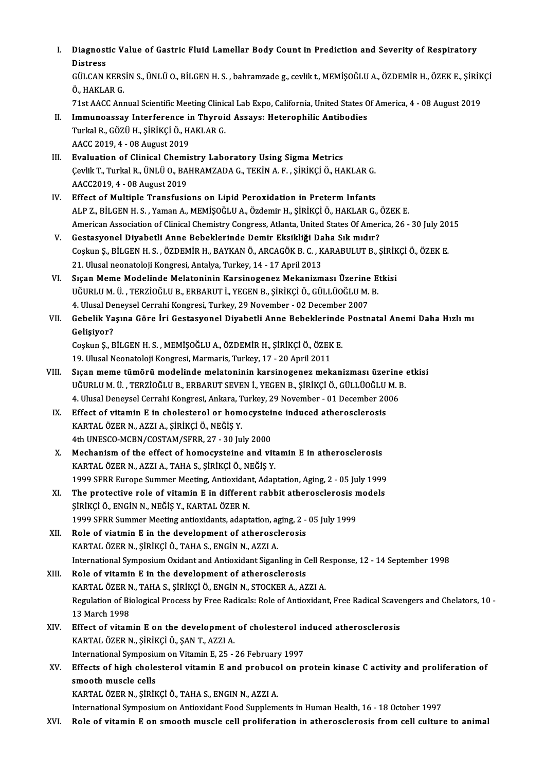| L     | Diagnostic Value of Gastric Fluid Lamellar Body Count in Prediction and Severity of Respiratory<br><b>Distress</b>                                                                                                                  |
|-------|-------------------------------------------------------------------------------------------------------------------------------------------------------------------------------------------------------------------------------------|
|       | GÜLCAN KERSİN S., ÜNLÜ O., BİLGEN H. S., bahramzade g., cevlik t., MEMİŞOĞLU A., ÖZDEMİR H., ÖZEK E., ŞİRİKÇİ<br>Ö., HAKLAR G.                                                                                                      |
| Н.    | 71st AACC Annual Scientific Meeting Clinical Lab Expo, California, United States Of America, 4 - 08 August 2019<br>Immunoassay Interference in Thyroid Assays: Heterophilic Antibodies<br>Turkal R., GÖZÜ H., ŞİRİKÇİ Ö., HAKLAR G. |
|       | AACC 2019, 4 - 08 August 2019                                                                                                                                                                                                       |
| III.  | Evaluation of Clinical Chemistry Laboratory Using Sigma Metrics<br>Çevlik T., Turkal R., ÜNLÜ O., BAHRAMZADA G., TEKİN A. F., ŞİRİKÇİ Ö., HAKLAR G.<br>AACC2019, 4 - 08 August 2019                                                 |
| IV.   | Effect of Multiple Transfusions on Lipid Peroxidation in Preterm Infants<br>ALP Z., BİLGEN H. S., Yaman A., MEMİŞOĞLU A., Özdemir H., ŞİRİKÇİ Ö., HAKLAR G., ÖZEK E.                                                                |
| V.    | American Association of Clinical Chemistry Congress, Atlanta, United States Of America, 26 - 30 July 2015<br>Gestasyonel Diyabetli Anne Bebeklerinde Demir Eksikliği Daha Sık mıdır?                                                |
|       | Coşkun Ş., BİLGEN H. S., ÖZDEMİR H., BAYKAN Ö., ARCAGÖK B. C., KARABULUT B., ŞİRİKÇİ Ö., ÖZEK E.                                                                                                                                    |
| VI.   | 21. Ulusal neonatoloji Kongresi, Antalya, Turkey, 14 - 17 April 2013<br>Sıçan Meme Modelinde Melatoninin Karsinogenez Mekanizması Üzerine Etkisi                                                                                    |
|       | UĞURLU M. Ü. , TERZİOĞLU B., ERBARUT İ., YEGEN B., ŞİRİKÇİ Ö., GÜLLÜOĞLU M. B.<br>4. Ulusal Deneysel Cerrahi Kongresi, Turkey, 29 November - 02 December 2007                                                                       |
| VII.  | Gebelik Yaşına Göre İri Gestasyonel Diyabetli Anne Bebeklerinde Postnatal Anemi Daha Hızlı mı<br>Gelişiyor?                                                                                                                         |
|       | Coşkun Ş., BİLGEN H. S., MEMİŞOĞLU A., ÖZDEMİR H., ŞİRİKÇİ Ö., ÖZEK E.<br>19. Ulusal Neonatoloji Kongresi, Marmaris, Turkey, 17 - 20 April 2011                                                                                     |
| VIII. | Sıçan meme tümörü modelinde melatoninin karsinogenez mekanizması üzerine etkisi                                                                                                                                                     |
|       | UĞURLU M. Ü. , TERZİOĞLU B., ERBARUT SEVEN İ., YEGEN B., ŞİRİKÇİ Ö., GÜLLÜOĞLU M. B.<br>4. Ulusal Deneysel Cerrahi Kongresi, Ankara, Turkey, 29 November - 01 December 2006                                                         |
| IX.   | Effect of vitamin E in cholesterol or homocysteine induced atherosclerosis<br>KARTAL ÖZER N., AZZI A., ŞİRİKÇİ Ö., NEĞİŞ Y.                                                                                                         |
| Х.    | 4th UNESCO-MCBN/COSTAM/SFRR, 27 - 30 July 2000<br>Mechanism of the effect of homocysteine and vitamin E in atherosclerosis<br>KARTAL ÖZER N., AZZI A., TAHA S., ŞİRİKÇİ Ö., NEĞİŞ Y.                                                |
|       | 1999 SFRR Europe Summer Meeting, Antioxidant, Adaptation, Aging, 2 - 05 July 1999                                                                                                                                                   |
| XI.   | The protective role of vitamin E in different rabbit atherosclerosis models<br>ŞİRİKÇİ Ö., ENGİN N., NEĞİŞ Y., KARTAL ÖZER N.                                                                                                       |
| XII.  | 1999 SFRR Summer Meeting antioxidants, adaptation, aging, 2 - 05 July 1999<br>Role of viatmin E in the development of atherosclerosis<br>KARTAL ÖZER N., ŞİRİKÇİ Ö., TAHA S., ENGİN N., AZZI A.                                     |
| XIII. | International Symposium Oxidant and Antioxidant Siganling in Cell Response, 12 - 14 September 1998<br>Role of vitamin E in the development of atherosclerosis<br>KARTAL ÖZER N., TAHA S., ŞİRİKÇİ Ö., ENGİN N., STOCKER A., AZZI A. |
|       | Regulation of Biological Process by Free Radicals: Role of Antioxidant, Free Radical Scavengers and Chelators, 10 -<br>13 March 1998                                                                                                |
| XIV.  | Effect of vitamin E on the development of cholesterol induced atherosclerosis<br>KARTAL ÖZER N., ŞİRİKÇİ Ö., ŞAN T., AZZI A.                                                                                                        |
| XV.   | International Symposium on Vitamin E, 25 - 26 February 1997<br>Effects of high cholesterol vitamin E and probucol on protein kinase C activity and proliferation of                                                                 |
|       | smooth muscle cells<br>KARTAL ÖZER N., ŞİRİKÇİ Ö., TAHA S., ENGIN N., AZZI A.                                                                                                                                                       |
| XVI.  | International Symposium on Antioxidant Food Supplements in Human Health, 16 - 18 October 1997<br>Role of vitamin E on smooth muscle cell proliferation in atherosclerosis from cell culture to animal                               |